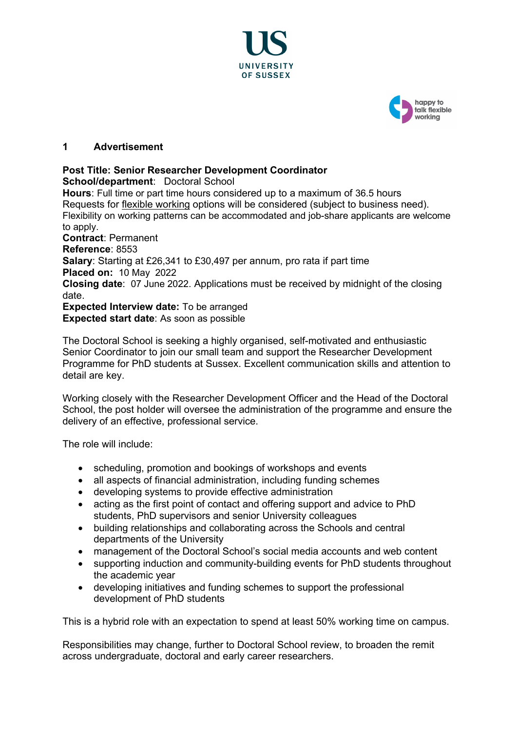



## **1 Advertisement**

# **Post Title: Senior Researcher Development Coordinator**

**School/department**: Doctoral School

**Hours**: Full time or part time hours considered up to a maximum of 36.5 hours Requests for [flexible working](http://www.sussex.ac.uk/humanresources/personnel/flexible-working) options will be considered (subject to business need). Flexibility on working patterns can be accommodated and job-share applicants are welcome to apply. **Contract**: Permanent **Reference**: 8553 **Salary**: Starting at £26,341 to £30,497 per annum, pro rata if part time **Placed on:** 10 May 2022 **Closing date**: 07 June 2022. Applications must be received by midnight of the closing date.

**Expected Interview date:** To be arranged **Expected start date**: As soon as possible

The Doctoral School is seeking a highly organised, self-motivated and enthusiastic Senior Coordinator to join our small team and support the Researcher Development Programme for PhD students at Sussex. Excellent communication skills and attention to detail are key.

Working closely with the Researcher Development Officer and the Head of the Doctoral School, the post holder will oversee the administration of the programme and ensure the delivery of an effective, professional service.

The role will include:

- scheduling, promotion and bookings of workshops and events
- all aspects of financial administration, including funding schemes
- developing systems to provide effective administration
- acting as the first point of contact and offering support and advice to PhD students, PhD supervisors and senior University colleagues
- building relationships and collaborating across the Schools and central departments of the University
- management of the Doctoral School's social media accounts and web content
- supporting induction and community-building events for PhD students throughout the academic year
- developing initiatives and funding schemes to support the professional development of PhD students

This is a hybrid role with an expectation to spend at least 50% working time on campus.

Responsibilities may change, further to Doctoral School review, to broaden the remit across undergraduate, doctoral and early career researchers.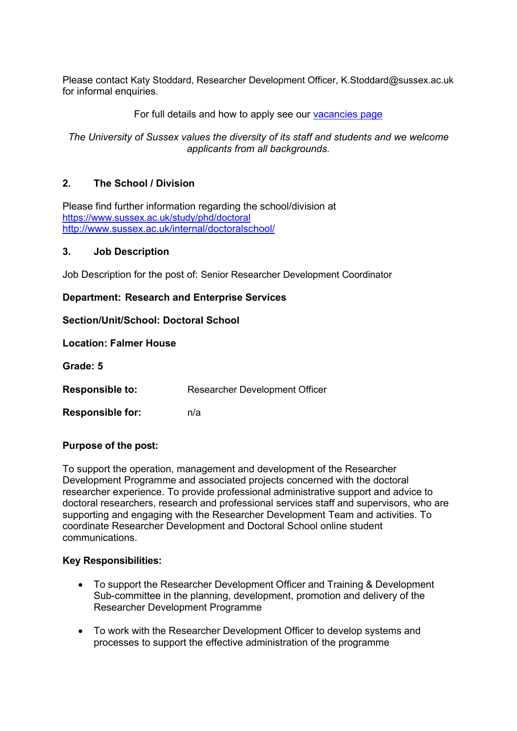Please contact Katy Stoddard, Researcher Development Officer, K.Stoddard@sussex.ac.uk for informal enquiries.

# For full details and how to apply see our [vacancies page](http://www.sussex.ac.uk/about/jobs)

# *The University of Sussex values the diversity of its staff and students and we welcome applicants from all backgrounds.*

## **2. The School / Division**

Please find further information regarding the school/division at <https://www.sussex.ac.uk/study/phd/doctoral> <http://www.sussex.ac.uk/internal/doctoralschool/>

#### **3. Job Description**

Job Description for the post of: Senior Researcher Development Coordinator

## **Department: Research and Enterprise Services**

## **Section/Unit/School: Doctoral School**

#### **Location: Falmer House**

**Grade: 5** 

**Responsible to:** Researcher Development Officer

**Responsible for:** n/a

## **Purpose of the post:**

To support the operation, management and development of the Researcher Development Programme and associated projects concerned with the doctoral researcher experience. To provide professional administrative support and advice to doctoral researchers, research and professional services staff and supervisors, who are supporting and engaging with the Researcher Development Team and activities. To coordinate Researcher Development and Doctoral School online student communications.

## **Key Responsibilities:**

- To support the Researcher Development Officer and Training & Development Sub-committee in the planning, development, promotion and delivery of the Researcher Development Programme
- To work with the Researcher Development Officer to develop systems and processes to support the effective administration of the programme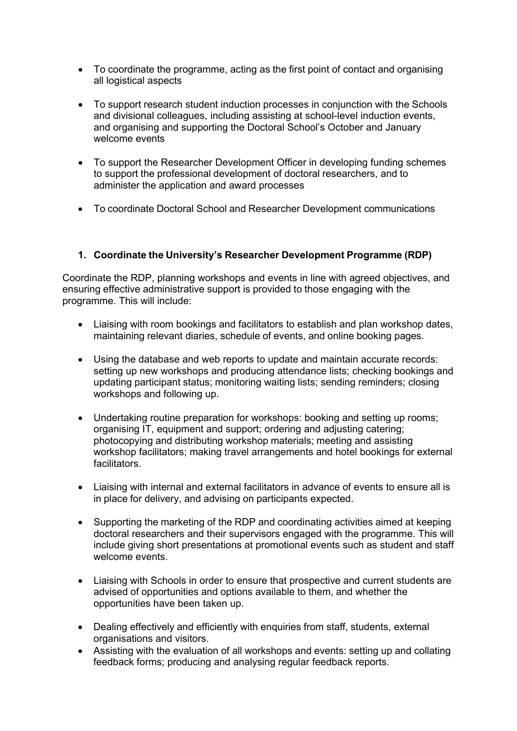- To coordinate the programme, acting as the first point of contact and organising all logistical aspects
- To support research student induction processes in conjunction with the Schools and divisional colleagues, including assisting at school-level induction events, and organising and supporting the Doctoral School's October and January welcome events
- To support the Researcher Development Officer in developing funding schemes to support the professional development of doctoral researchers, and to administer the application and award processes
- To coordinate Doctoral School and Researcher Development communications

# **1. Coordinate the University's Researcher Development Programme (RDP)**

Coordinate the RDP, planning workshops and events in line with agreed objectives, and ensuring effective administrative support is provided to those engaging with the programme. This will include:

- Liaising with room bookings and facilitators to establish and plan workshop dates, maintaining relevant diaries, schedule of events, and online booking pages.
- Using the database and web reports to update and maintain accurate records: setting up new workshops and producing attendance lists; checking bookings and updating participant status; monitoring waiting lists; sending reminders; closing workshops and following up.
- Undertaking routine preparation for workshops: booking and setting up rooms; organising IT, equipment and support; ordering and adjusting catering; photocopying and distributing workshop materials; meeting and assisting workshop facilitators; making travel arrangements and hotel bookings for external facilitators.
- Liaising with internal and external facilitators in advance of events to ensure all is in place for delivery, and advising on participants expected.
- Supporting the marketing of the RDP and coordinating activities aimed at keeping doctoral researchers and their supervisors engaged with the programme. This will include giving short presentations at promotional events such as student and staff welcome events.
- Liaising with Schools in order to ensure that prospective and current students are advised of opportunities and options available to them, and whether the opportunities have been taken up.
- Dealing effectively and efficiently with enquiries from staff, students, external organisations and visitors.
- Assisting with the evaluation of all workshops and events: setting up and collating feedback forms; producing and analysing regular feedback reports.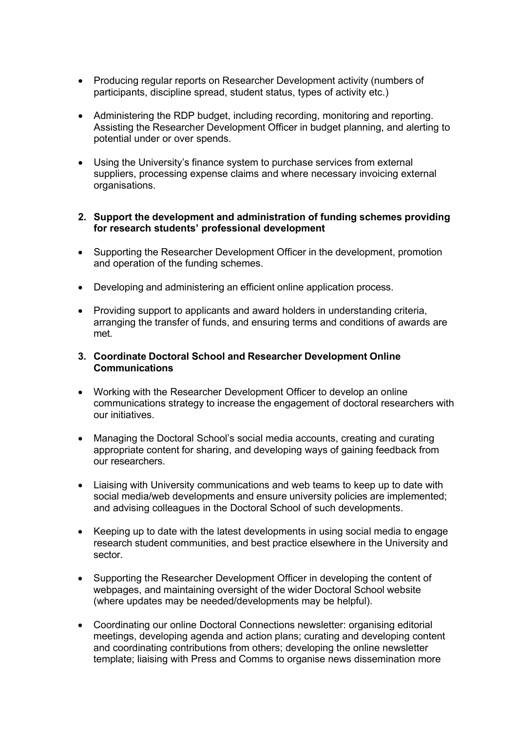- Producing regular reports on Researcher Development activity (numbers of participants, discipline spread, student status, types of activity etc.)
- Administering the RDP budget, including recording, monitoring and reporting. Assisting the Researcher Development Officer in budget planning, and alerting to potential under or over spends.
- Using the University's finance system to purchase services from external suppliers, processing expense claims and where necessary invoicing external organisations.

# **2. Support the development and administration of funding schemes providing for research students' professional development**

- Supporting the Researcher Development Officer in the development, promotion and operation of the funding schemes.
- Developing and administering an efficient online application process.
- Providing support to applicants and award holders in understanding criteria, arranging the transfer of funds, and ensuring terms and conditions of awards are met.

## **3. Coordinate Doctoral School and Researcher Development Online Communications**

- Working with the Researcher Development Officer to develop an online communications strategy to increase the engagement of doctoral researchers with our initiatives.
- Managing the Doctoral School's social media accounts, creating and curating appropriate content for sharing, and developing ways of gaining feedback from our researchers.
- Liaising with University communications and web teams to keep up to date with social media/web developments and ensure university policies are implemented; and advising colleagues in the Doctoral School of such developments.
- Keeping up to date with the latest developments in using social media to engage research student communities, and best practice elsewhere in the University and sector.
- Supporting the Researcher Development Officer in developing the content of webpages, and maintaining oversight of the wider Doctoral School website (where updates may be needed/developments may be helpful).
- Coordinating our online Doctoral Connections newsletter: organising editorial meetings, developing agenda and action plans; curating and developing content and coordinating contributions from others; developing the online newsletter template; liaising with Press and Comms to organise news dissemination more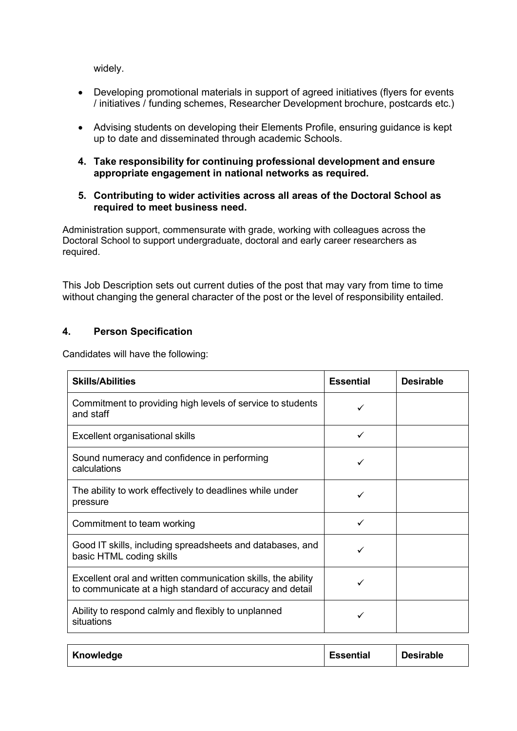widely.

- Developing promotional materials in support of agreed initiatives (flyers for events / initiatives / funding schemes, Researcher Development brochure, postcards etc.)
- Advising students on developing their Elements Profile, ensuring guidance is kept up to date and disseminated through academic Schools.
- **4. Take responsibility for continuing professional development and ensure appropriate engagement in national networks as required.**
- **5. Contributing to wider activities across all areas of the Doctoral School as required to meet business need.**

Administration support, commensurate with grade, working with colleagues across the Doctoral School to support undergraduate, doctoral and early career researchers as required.

This Job Description sets out current duties of the post that may vary from time to time without changing the general character of the post or the level of responsibility entailed.

# **4. Person Specification**

Candidates will have the following:

| <b>Skills/Abilities</b>                                                                                                  | <b>Essential</b> | <b>Desirable</b> |
|--------------------------------------------------------------------------------------------------------------------------|------------------|------------------|
| Commitment to providing high levels of service to students<br>and staff                                                  | ✓                |                  |
| Excellent organisational skills                                                                                          | ✓                |                  |
| Sound numeracy and confidence in performing<br>calculations                                                              | ✓                |                  |
| The ability to work effectively to deadlines while under<br>pressure                                                     | ✓                |                  |
| Commitment to team working                                                                                               | ✓                |                  |
| Good IT skills, including spreadsheets and databases, and<br>basic HTML coding skills                                    | ✓                |                  |
| Excellent oral and written communication skills, the ability<br>to communicate at a high standard of accuracy and detail |                  |                  |
| Ability to respond calmly and flexibly to unplanned<br>situations                                                        |                  |                  |

| Knowledge | Essential | <b>Desirable</b> |
|-----------|-----------|------------------|
|-----------|-----------|------------------|